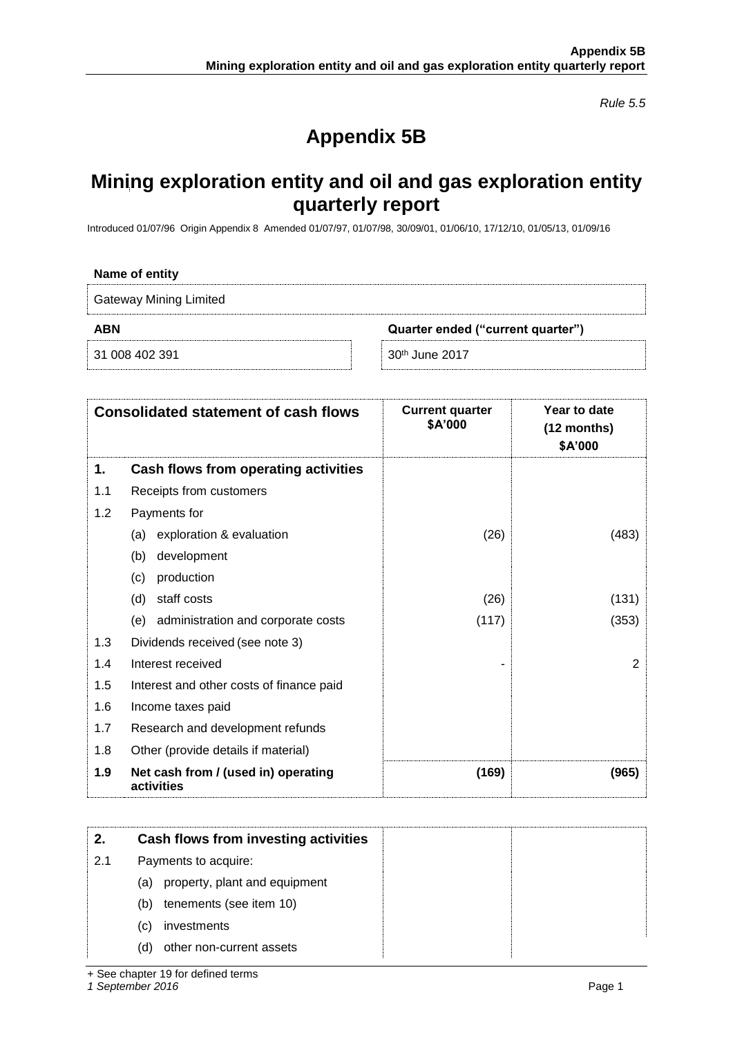*Rule 5.5*

## **Appendix 5B**

## **Mining exploration entity and oil and gas exploration entity quarterly report**

Introduced 01/07/96 Origin Appendix 8 Amended 01/07/97, 01/07/98, 30/09/01, 01/06/10, 17/12/10, 01/05/13, 01/09/16

| Name of entity                |                                   |  |
|-------------------------------|-----------------------------------|--|
| <b>Gateway Mining Limited</b> |                                   |  |
| <b>ABN</b>                    | Quarter ended ("current quarter") |  |
| 31 008 402 391                | $30th$ June 2017                  |  |

|     | <b>Consolidated statement of cash flows</b>       | <b>Current quarter</b><br>\$A'000 | Year to date<br>$(12$ months)<br>\$A'000 |
|-----|---------------------------------------------------|-----------------------------------|------------------------------------------|
| 1.  | Cash flows from operating activities              |                                   |                                          |
| 1.1 | Receipts from customers                           |                                   |                                          |
| 1.2 | Payments for                                      |                                   |                                          |
|     | exploration & evaluation<br>(a)                   | (26)                              | (483)                                    |
|     | development<br>(b)                                |                                   |                                          |
|     | production<br>(c)                                 |                                   |                                          |
|     | staff costs<br>(d)                                | (26)                              | (131)                                    |
|     | (e) administration and corporate costs            | (117)                             | (353)                                    |
| 1.3 | Dividends received (see note 3)                   |                                   |                                          |
| 1.4 | Interest received                                 |                                   | 2                                        |
| 1.5 | Interest and other costs of finance paid          |                                   |                                          |
| 1.6 | Income taxes paid                                 |                                   |                                          |
| 1.7 | Research and development refunds                  |                                   |                                          |
| 1.8 | Other (provide details if material)               |                                   |                                          |
| 1.9 | Net cash from / (used in) operating<br>activities | (169)                             | (965)                                    |

|     | Cash flows from investing activities |  |
|-----|--------------------------------------|--|
| 2.1 | Payments to acquire:                 |  |
|     | property, plant and equipment<br>(a) |  |
|     | tenements (see item 10)<br>(b)       |  |
|     | investments<br>(c)                   |  |
|     | (d)<br>other non-current assets      |  |

+ See chapter 19 for defined terms

*1 September 2016* Page 1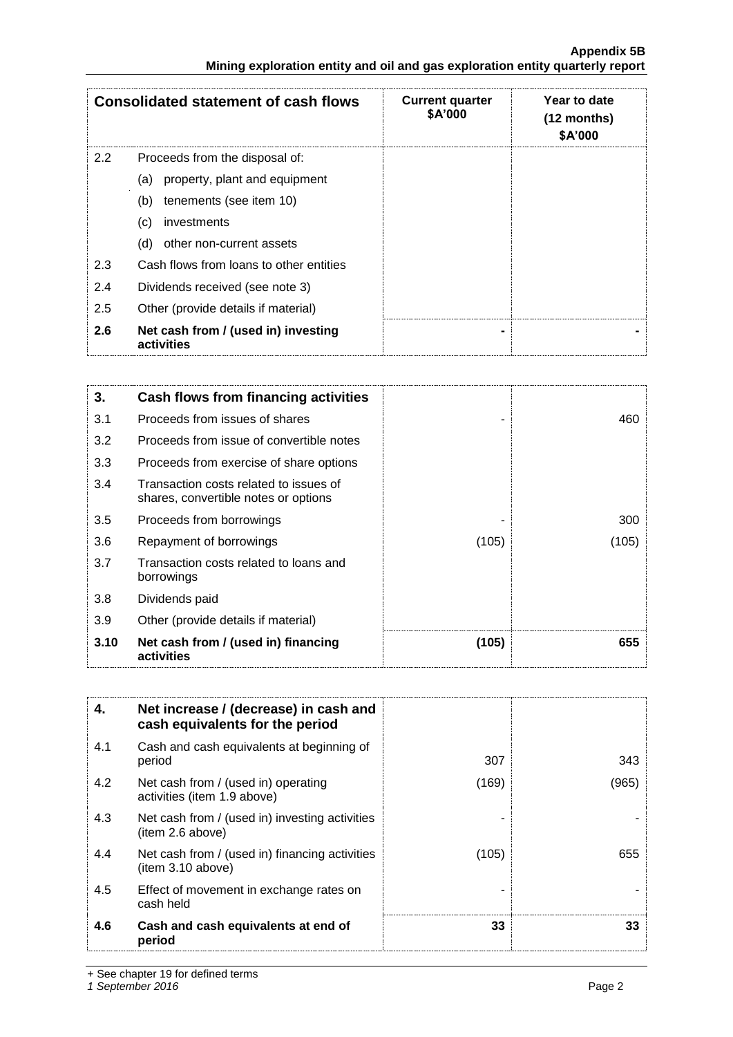|                                                                               | <b>Appendix 5B</b> |
|-------------------------------------------------------------------------------|--------------------|
| Mining exploration entity and oil and gas exploration entity quarterly report |                    |

|     | <b>Consolidated statement of cash flows</b>       | <b>Current quarter</b><br>\$A'000 | Year to date<br>$(12$ months)<br>\$A'000 |
|-----|---------------------------------------------------|-----------------------------------|------------------------------------------|
| 2.2 | Proceeds from the disposal of:                    |                                   |                                          |
|     | property, plant and equipment<br>(a)              |                                   |                                          |
|     | tenements (see item 10)<br>(b)                    |                                   |                                          |
|     | (c)<br>investments                                |                                   |                                          |
|     | other non-current assets<br>(d)                   |                                   |                                          |
| 2.3 | Cash flows from loans to other entities           |                                   |                                          |
| 2.4 | Dividends received (see note 3)                   |                                   |                                          |
| 2.5 | Other (provide details if material)               |                                   |                                          |
| 2.6 | Net cash from / (used in) investing<br>activities |                                   |                                          |

| 3.   | Cash flows from financing activities                                           |       |       |
|------|--------------------------------------------------------------------------------|-------|-------|
| 3.1  | Proceeds from issues of shares                                                 |       | 460   |
| 3.2  | Proceeds from issue of convertible notes                                       |       |       |
| 3.3  | Proceeds from exercise of share options                                        |       |       |
| 3.4  | Transaction costs related to issues of<br>shares, convertible notes or options |       |       |
| 3.5  | Proceeds from borrowings                                                       |       | 300   |
| 3.6  | Repayment of borrowings                                                        | (105) | (105) |
| 3.7  | Transaction costs related to loans and<br>borrowings                           |       |       |
| 3.8  | Dividends paid                                                                 |       |       |
| 3.9  | Other (provide details if material)                                            |       |       |
| 3.10 | Net cash from / (used in) financing<br>activities                              | (105) | 655   |

| 4.  | Net increase / (decrease) in cash and<br>cash equivalents for the period |       |       |
|-----|--------------------------------------------------------------------------|-------|-------|
| 4.1 | Cash and cash equivalents at beginning of<br>period                      | 307   | 343   |
| 4.2 | Net cash from / (used in) operating<br>activities (item 1.9 above)       | (169) | (965) |
| 4.3 | Net cash from / (used in) investing activities<br>(item 2.6 above)       |       |       |
| 4.4 | Net cash from / (used in) financing activities<br>(item 3.10 above)      | (105) | 655   |
| 4.5 | Effect of movement in exchange rates on<br>cash held                     |       |       |
| 4.6 | Cash and cash equivalents at end of<br>period                            | 33    | 33    |

+ See chapter 19 for defined terms

*1 September 2016* Page 2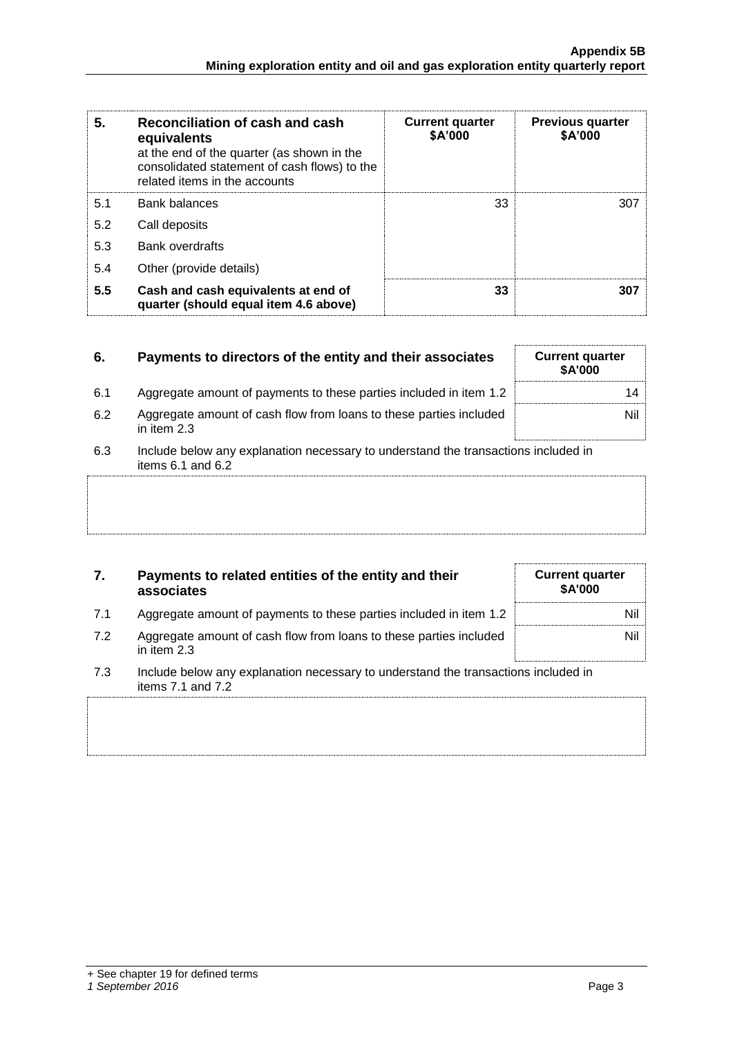| 5.  | Reconciliation of cash and cash<br>equivalents<br>at the end of the quarter (as shown in the<br>consolidated statement of cash flows) to the<br>related items in the accounts | <b>Current quarter</b><br>\$A'000 | <b>Previous quarter</b><br>\$A'000 |
|-----|-------------------------------------------------------------------------------------------------------------------------------------------------------------------------------|-----------------------------------|------------------------------------|
| 5.1 | <b>Bank balances</b>                                                                                                                                                          | 33                                | 307                                |
| 5.2 | Call deposits                                                                                                                                                                 |                                   |                                    |
| 5.3 | <b>Bank overdrafts</b>                                                                                                                                                        |                                   |                                    |
| 5.4 | Other (provide details)                                                                                                                                                       |                                   |                                    |
| 5.5 | Cash and cash equivalents at end of<br>quarter (should equal item 4.6 above)                                                                                                  | 33                                | 307                                |

| 6.  | Payments to directors of the entity and their associates                                                    | <b>Current quarter</b><br><b>\$A'000</b> |
|-----|-------------------------------------------------------------------------------------------------------------|------------------------------------------|
| 6.1 | Aggregate amount of payments to these parties included in item 1.2                                          | 14                                       |
| 6.2 | Aggregate amount of cash flow from loans to these parties included<br>in item $2.3$                         | Nil                                      |
| 6.3 | Include below any explanation necessary to understand the transactions included in<br>items $6.1$ and $6.2$ |                                          |
|     |                                                                                                             |                                          |

| 7.  | Payments to related entities of the entity and their<br>associates                                          | <b>Current quarter</b><br><b>\$A'000</b> |
|-----|-------------------------------------------------------------------------------------------------------------|------------------------------------------|
| 7.1 | Aggregate amount of payments to these parties included in item 1.2                                          | Nil                                      |
| 7.2 | Aggregate amount of cash flow from loans to these parties included<br>in item 2.3                           | Nil                                      |
| 7.3 | Include below any explanation necessary to understand the transactions included in<br>items $7.1$ and $7.2$ |                                          |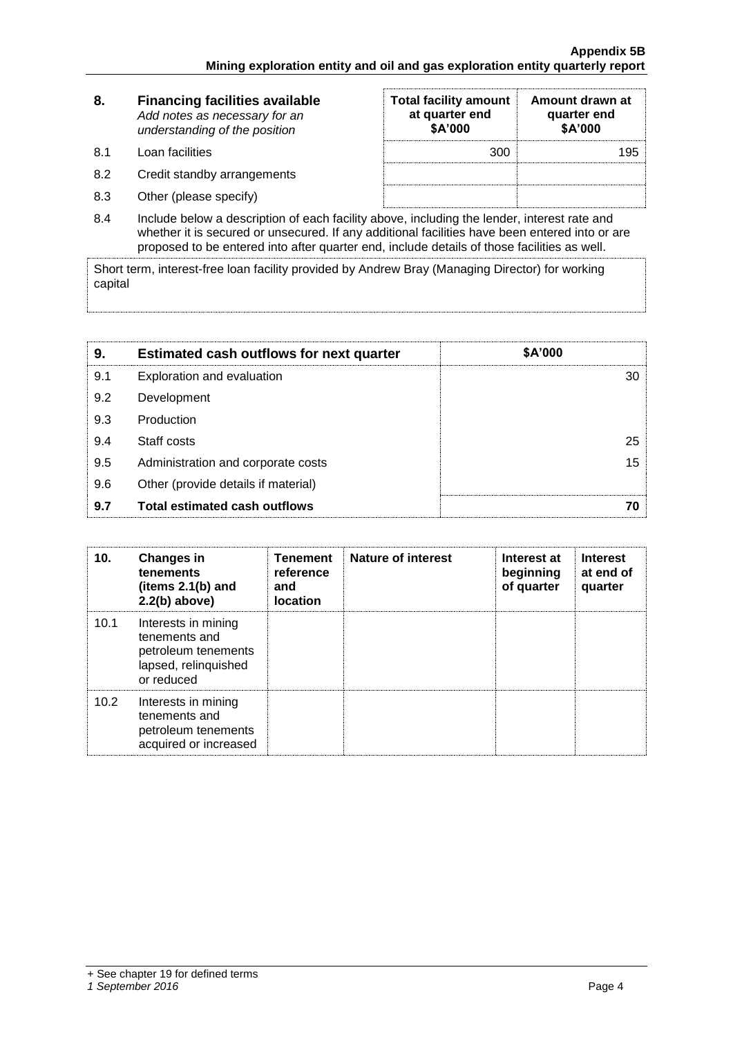| 8.        | <b>Financing facilities available</b><br>Add notes as necessary for an<br>understanding of the position | <b>Total facility amount</b><br>at quarter end<br>\$A'000 | Amount drawn at<br>quarter end<br>\$A'000 |
|-----------|---------------------------------------------------------------------------------------------------------|-----------------------------------------------------------|-------------------------------------------|
| <b>81</b> | Loan facilities                                                                                         | 300                                                       | 195                                       |
| 8.2       | Credit standby arrangements                                                                             |                                                           |                                           |
| 8.3       | Other (please specify)                                                                                  |                                                           |                                           |

8.4 Include below a description of each facility above, including the lender, interest rate and whether it is secured or unsecured. If any additional facilities have been entered into or are proposed to be entered into after quarter end, include details of those facilities as well.

Short term, interest-free loan facility provided by Andrew Bray (Managing Director) for working capital

| 9.  | <b>Estimated cash outflows for next quarter</b> | \$A'000 |
|-----|-------------------------------------------------|---------|
| 9.1 | Exploration and evaluation                      | 30      |
| 9.2 | Development                                     |         |
| 9.3 | Production                                      |         |
| 9.4 | Staff costs                                     | 25      |
| 9.5 | Administration and corporate costs              | 15      |
| 9.6 | Other (provide details if material)             |         |
| 9.7 | <b>Total estimated cash outflows</b>            |         |

| 10 <sub>1</sub> | <b>Changes in</b><br>tenements<br>(items $2.1(b)$ and<br>$2.2(b)$ above)                          | <b>Tenement</b><br>reference<br>and<br><b>location</b> | <b>Nature of interest</b> | Interest at<br>beginning<br>of quarter | <b>Interest</b><br>at end of<br>quarter |
|-----------------|---------------------------------------------------------------------------------------------------|--------------------------------------------------------|---------------------------|----------------------------------------|-----------------------------------------|
| 10.1            | Interests in mining<br>tenements and<br>petroleum tenements<br>lapsed, relinquished<br>or reduced |                                                        |                           |                                        |                                         |
| 10.2            | Interests in mining<br>tenements and<br>petroleum tenements<br>acquired or increased              |                                                        |                           |                                        |                                         |